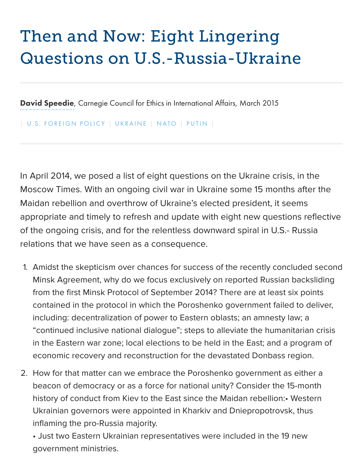## Guestions on U.S.-Russian Chronicle

David Speedie, Carnegie Council for Ethics in International Affairs, March 2015

| U.S. FOREIGN POLICY | UKRAINE | NATO | PUTIN |

[In April 2014,](http://www.carnegiecouncil.org/people/data/david_speedie.html) we posed a list of eight questions on the Ukraine crisis, in the [Moscow Times. With a](http://perspectives.carnegie.org/us-russia/category/u-s-foreign-policy/)n [ongoing](http://perspectives.carnegie.org/us-russia/category/ukraine/) [civil wa](http://perspectives.carnegie.org/us-russia/category/nato/)r [in Ukr](http://perspectives.carnegie.org/us-russia/category/putin/)aine some 15 months after Maidan rebellion and overthrow of Ukraine's elected president, it seems appropriate and timely to refresh and update with eight new questions re of the ongoing crisis, and for the relentless downward spiral in U.S.- Russ relations that we have seen as a consequence.

- 1. Amidst the skepticism over chances for success of the recently conclude Minsk Agreement, why do we focus exclusively on reported Russian back from the first Minsk Protocol of September 2014? There are at least six po contained in the protocol in which the Poroshenko government failed to deliver. including: decentralization of power to Eastern oblasts; an amnesty law; a "continued inclusive national dialogue"; steps to alleviate the humanitaria in the Eastern war zone; local elections to be held in the East; and a prog economic recovery and reconstruction for the devastated Donbass regior
- 2. How for that matter can we embrace the Poroshenko government as eith beacon of democracy or as a force for national unity? Consider the 15-mo history of conduct from Kiev to the East since the Maidan rebellion: West Ukrainian governors were appointed in Kharkiv and Dniepropotrovsk, thu inflaming the pro-Russia majority.

• Just two Eastern Ukrainian representatives were included in the 19 new government ministries.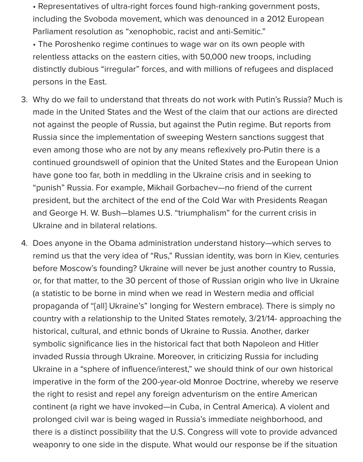• Representatives of ultra-right forces found high-ranking government posts, including the Svoboda movement, which was denounced in a 2012 European Parliament resolution as "xenophobic, racist and anti-Semitic."

• The Poroshenko regime continues to wage war on its own people with relentless attacks on the eastern cities, with 50,000 new troops, including distinctly dubious "irregular" forces, and with millions of refugees and displaced persons in the East.

- 3. Why do we fail to understand that threats do not work with Putin's Russia? Much is made in the United States and the West of the claim that our actions are directed not against the people of Russia, but against the Putin regime. But reports from Russia since the implementation of sweeping Western sanctions suggest that even among those who are not by any means reflexively pro-Putin there is a continued groundswell of opinion that the United States and the European Union have gone too far, both in meddling in the Ukraine crisis and in seeking to "punish" Russia. For example, Mikhail Gorbachev—no friend of the current president, but the architect of the end of the Cold War with Presidents Reagan and George H. W. Bush—blames U.S. "triumphalism" for the current crisis in Ukraine and in bilateral relations.
- 4. Does anyone in the Obama administration understand history—which serves to remind us that the very idea of "Rus," Russian identity, was born in Kiev, centuries before Moscow's founding? Ukraine will never be just another country to Russia, or, for that matter, to the 30 percent of those of Russian origin who live in Ukraine (a statistic to be borne in mind when we read in Western media and official propaganda of "[all] Ukraine's" longing for Western embrace). There is simply no country with a relationship to the United States remotely, 3/21/14- approaching the historical, cultural, and ethnic bonds of Ukraine to Russia. Another, darker symbolic significance lies in the historical fact that both Napoleon and Hitler invaded Russia through Ukraine. Moreover, in criticizing Russia for including Ukraine in a "sphere of influence/interest," we should think of our own historical imperative in the form of the 200-year-old Monroe Doctrine, whereby we reserve the right to resist and repel any foreign adventurism on the entire American continent (a right we have invoked—in Cuba, in Central America). A violent and prolonged civil war is being waged in Russia's immediate neighborhood, and there is a distinct possibility that the U.S. Congress will vote to provide advanced weaponry to one side in the dispute. What would our response be if the situation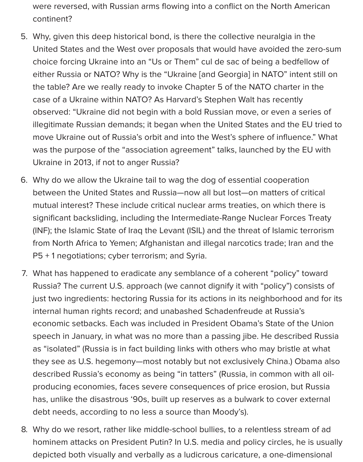were reversed, with Russian arms flowing into a conflict on the North American continent?

- 5. Why, given this deep historical bond, is there the collective neuralgia in the United States and the West over proposals that would have avoided the zero-sum choice forcing Ukraine into an "Us or Them" cul de sac of being a bedfellow of either Russia or NATO? Why is the "Ukraine [and Georgia] in NATO" intent still on the table? Are we really ready to invoke Chapter 5 of the NATO charter in the case of a Ukraine within NATO? As Harvard's Stephen Walt has recently observed: "Ukraine did not begin with a bold Russian move, or even a series of illegitimate Russian demands; it began when the United States and the EU tried to move Ukraine out of Russia's orbit and into the West's sphere of influence." What was the purpose of the "association agreement" talks, launched by the EU with Ukraine in 2013, if not to anger Russia?
- 6. Why do we allow the Ukraine tail to wag the dog of essential cooperation between the United States and Russia—now all but lost—on matters of critical mutual interest? These include critical nuclear arms treaties, on which there is significant backsliding, including the Intermediate-Range Nuclear Forces Treaty (INF); the Islamic State of Iraq the Levant (ISIL) and the threat of Islamic terrorism from North Africa to Yemen; Afghanistan and illegal narcotics trade; Iran and the P5 + 1 negotiations; cyber terrorism; and Syria.
- 7. What has happened to eradicate any semblance of a coherent "policy" toward Russia? The current U.S. approach (we cannot dignify it with "policy") consists of just two ingredients: hectoring Russia for its actions in its neighborhood and for its internal human rights record; and unabashed Schadenfreude at Russia's economic setbacks. Each was included in President Obama's State of the Union speech in January, in what was no more than a passing jibe. He described Russia as "isolated" (Russia is in fact building links with others who may bristle at what they see as U.S. hegemony—most notably but not exclusively China.) Obama also described Russia's economy as being "in tatters" (Russia, in common with all oilproducing economies, faces severe consequences of price erosion, but Russia has, unlike the disastrous '90s, built up reserves as a bulwark to cover external debt needs, according to no less a source than Moody's).
- 8. Why do we resort, rather like middle-school bullies, to a relentless stream of ad hominem attacks on President Putin? In U.S. media and policy circles, he is usually depicted both visually and verbally as a ludicrous caricature, a one-dimensional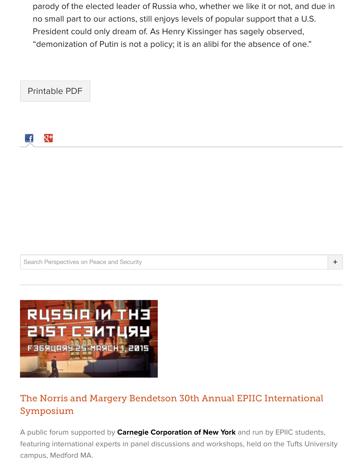



Search Perspectives on Peace and Security



## [The Norris and Margery Bendet](http://www.tuftsgloballeadership.org/symposium/2015/)son 30th Annual EPIIC International Symposium

A public forum supported by **Carnegie Corporation of New York** and run by EPIIC stud featuring international experts in panel discussions and workshops, held on the Tufts U campus, Medford MA.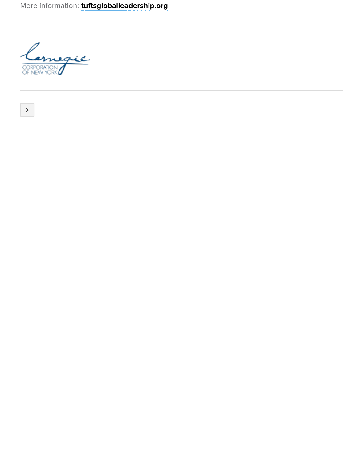

-

 $\vert$